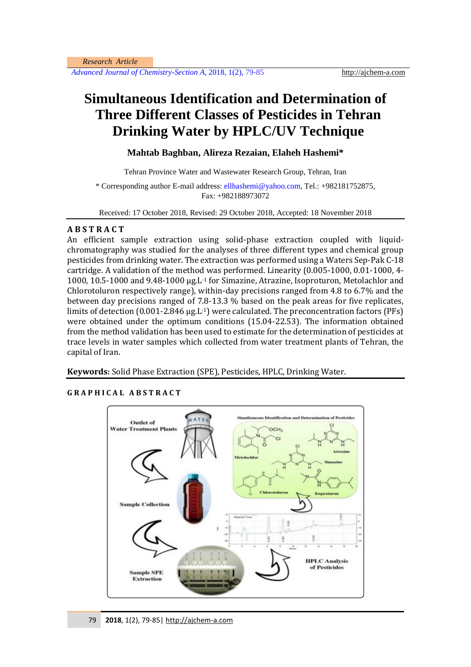*Advanced Journal of Chemistry-Section A*, 2018, 1(2), 79-85 http://ajchem-a.com

# **Simultaneous Identification and Determination of Three Different Classes of Pesticides in Tehran Drinking Water by HPLC/UV Technique**

**Mahtab Baghban, Alireza Rezaian, Elaheh Hashemi\***

Tehran Province Water and Wastewater Research Group, Tehran, Iran

\* Corresponding author E-mail address: ellhashemi@yahoo.com, Tel.: +982181752875, Fax: +982188973072

Received: 17 October 2018, Revised: 29 October 2018, Accepted: 18 November 2018

# **A B S T R A C T**

An efficient sample extraction using solid-phase extraction coupled with liquidchromatography was studied for the analyses of three different types and chemical group pesticides from drinking water. The extraction was performed using a Waters Sep-Pak C-18 cartridge. A validation of the method was performed. Linearity (0.005-1000, 0.01-1000, 4- 1000, 10.5-1000 and 9.48-1000 µg.L-1 for Simazine, Atrazine, Isoproturon, Metolachlor and Chlorotoluron respectively range), within-day precisions ranged from 4.8 to 6.7% and the between day precisions ranged of 7.8-13.3 % based on the peak areas for five replicates, limits of detection (0.001-2.846 µg.L<sup>-1</sup>) were calculated. The preconcentration factors (PFs) were obtained under the optimum conditions (15.04-22.53). The information obtained from the method validation has been used to estimate for the determination of pesticides at trace levels in water samples which collected from water treatment plants of Tehran, the capital of Iran.

**Keywords:** Solid Phase Extraction (SPE), Pesticides, HPLC, Drinking Water.

# **G R A P H I C A L A B S T R A C T**

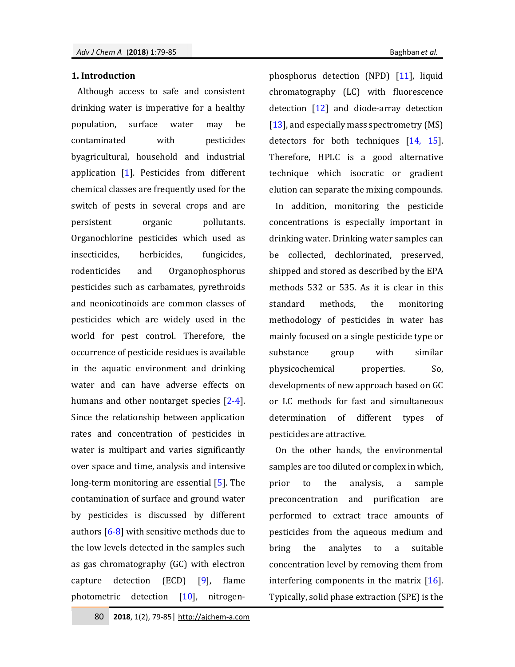#### **1. Introduction**

Although access to safe and consistent drinking water is imperative for a healthy population, surface water may be contaminated with pesticides byagricultural, household and industrial application [1]. Pesticides from different chemical classes are frequently used for the switch of pests in several crops and are persistent organic pollutants. Organochlorine pesticides which used as insecticides, herbicides, fungicides, rodenticides and Organophosphorus pesticides such as carbamates, pyrethroids and neonicotinoids are common classes of pesticides which are widely used in the world for pest control. Therefore, the occurrence of pesticide residues is available in the aquatic environment and drinking water and can have adverse effects on humans and other nontarget species [2-4]. Since the relationship between application rates and concentration of pesticides in water is multipart and varies significantly over space and time, analysis and intensive long-term monitoring are essential [5]. The contamination of surface and ground water by pesticides is discussed by different authors  $[6-8]$  with sensitive methods due to the low levels detected in the samples such as gas chromatography (GC) with electron capture detection (ECD) [9], flame photometric detection [10], nitrogenphosphorus detection (NPD) [11], liquid chromatography (LC) with fluorescence detection  $\begin{bmatrix} 12 \end{bmatrix}$  and diode-array detection [13], and especially mass spectrometry (MS) detectors for both techniques [14, 15]. Therefore, HPLC is a good alternative technique which isocratic or gradient elution can separate the mixing compounds.

In addition, monitoring the pesticide concentrations is especially important in drinking water. Drinking water samples can be collected, dechlorinated, preserved, shipped and stored as described by the EPA methods 532 or 535. As it is clear in this standard methods, the monitoring methodology of pesticides in water has mainly focused on a single pesticide type or substance group with similar physicochemical properties. So, developments of new approach based on GC or LC methods for fast and simultaneous determination of different types of pesticides are attractive.

On the other hands, the environmental samples are too diluted or complex in which, prior to the analysis, a sample preconcentration and purification are performed to extract trace amounts of pesticides from the aqueous medium and bring the analytes to a suitable concentration level by removing them from interfering components in the matrix [16]. Typically, solid phase extraction (SPE) is the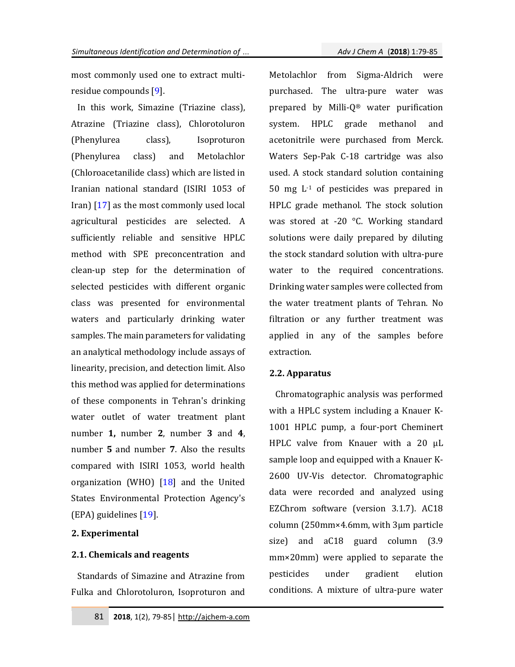most commonly used one to extract multiresidue compounds [9].

In this work, Simazine (Triazine class), Atrazine (Triazine class), Chlorotoluron (Phenylurea class), Isoproturon (Phenylurea class) and Metolachlor (Chloroacetanilide class) which are listed in Iranian national standard (ISIRI 1053 of Iran) [17] as the most commonly used local agricultural pesticides are selected. A sufficiently reliable and sensitive HPLC method with SPE preconcentration and clean-up step for the determination of selected pesticides with different organic class was presented for environmental waters and particularly drinking water samples. The main parameters for validating an analytical methodology include assays of linearity, precision, and detection limit. Also this method was applied for determinations of these components in Tehran's drinking water outlet of water treatment plant number **1,** number **2**, number **3** and **4**, number **5** and number **7**. Also the results compared with ISIRI 1053, world health organization (WHO)  $[18]$  and the United States Environmental Protection Agency's (EPA) guidelines [19].

## **2. Experimental**

#### **2.1. Chemicals and reagents**

Standards of Simazine and Atrazine from Fulka and Chlorotoluron, Isoproturon and Metolachlor from Sigma-Aldrich were purchased. The ultra-pure water was prepared by Milli-Q® water purification system. HPLC grade methanol and acetonitrile were purchased from Merck. Waters Sep-Pak C-18 cartridge was also used. A stock standard solution containing 50 mg L-1 of pesticides was prepared in HPLC grade methanol. The stock solution was stored at -20 °C. Working standard solutions were daily prepared by diluting the stock standard solution with ultra-pure water to the required concentrations. Drinking water samples were collected from the water treatment plants of Tehran. No filtration or any further treatment was applied in any of the samples before extraction.

#### **2.2. Apparatus**

Chromatographic analysis was performed with a HPLC system including a Knauer K-1001 HPLC pump, a four-port Cheminert HPLC valve from Knauer with a 20 µL sample loop and equipped with a Knauer K-2600 UV-Vis detector. Chromatographic data were recorded and analyzed using EZChrom software (version 3.1.7). AC18 column (250mm×4.6mm, with 3µm particle size) and aC18 guard column (3.9 mm×20mm) were applied to separate the pesticides under gradient elution conditions. A mixture of ultra-pure water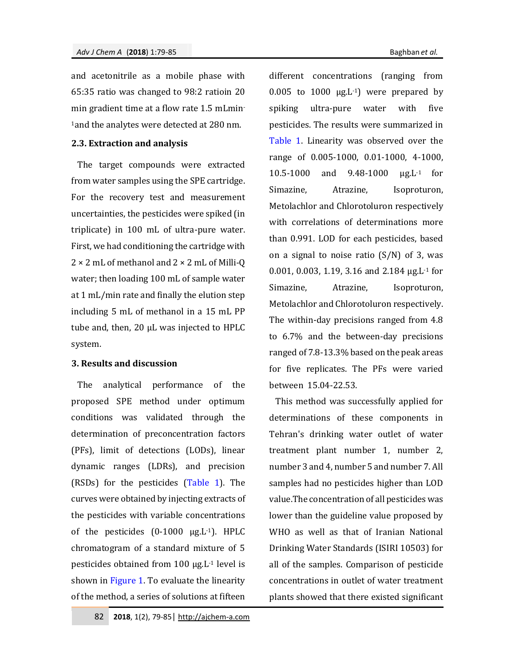and acetonitrile as a mobile phase with 65:35 ratio was changed to 98:2 ratioin 20 min gradient time at a flow rate 1.5 mLmin-<sup>1</sup>and the analytes were detected at 280 nm.

# **2.3. Extraction and analysis**

The target compounds were extracted from water samples using the SPE cartridge. For the recovery test and measurement uncertainties, the pesticides were spiked (in triplicate) in 100 mL of ultra-pure water. First, we had conditioning the cartridge with  $2 \times 2$  mL of methanol and  $2 \times 2$  mL of Milli-O water; then loading 100 mL of sample water at 1 mL/min rate and finally the elution step including 5 mL of methanol in a 15 mL PP tube and, then, 20 µL was injected to HPLC system.

## **3. Results and discussion**

The analytical performance of the proposed SPE method under optimum conditions was validated through the determination of preconcentration factors (PFs), limit of detections (LODs), linear dynamic ranges (LDRs), and precision (RSDs) for the pesticides (Table 1). The curves were obtained by injecting extracts of the pesticides with variable concentrations of the pesticides  $(0-1000 \mu g.L^{-1})$ . HPLC chromatogram of a standard mixture of 5 pesticides obtained from 100 µg.L-1 level is shown in Figure 1. To evaluate the linearity of the method, a series of solutions at fifteen

different concentrations (ranging from 0.005 to 1000  $\mu$ g.L<sup>-1</sup>) were prepared by spiking ultra-pure water with five pesticides. The results were summarized in Table 1. Linearity was observed over the range of 0.005-1000, 0.01-1000, 4-1000, 10.5-1000 and 9.48-1000 µg.L-1 for Simazine, Atrazine, Isoproturon, Metolachlor and Chlorotoluron respectively with correlations of determinations more than 0.991. LOD for each pesticides, based on a signal to noise ratio  $(S/N)$  of 3, was 0.001, 0.003, 1.19, 3.16 and 2.184 µg.L-1 for Simazine, Atrazine, Isoproturon, Metolachlor and Chlorotoluron respectively. The within-day precisions ranged from 4.8 to 6.7% and the between-day precisions ranged of 7.8-13.3% based on the peak areas for five replicates. The PFs were varied between 15.04-22.53.

This method was successfully applied for determinations of these components in Tehran's drinking water outlet of water treatment plant number 1, number 2, number 3 and 4, number 5 and number 7. All samples had no pesticides higher than LOD value.The concentration of all pesticides was lower than the guideline value proposed by WHO as well as that of Iranian National Drinking Water Standards (ISIRI 10503) for all of the samples. Comparison of pesticide concentrations in outlet of water treatment plants showed that there existed significant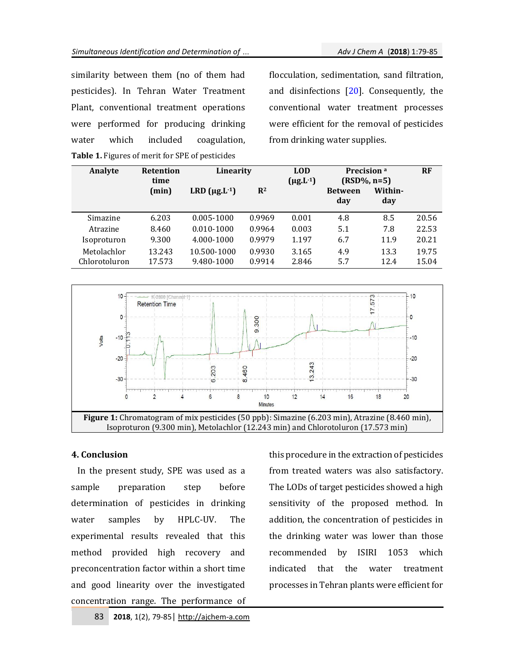similarity between them (no of them had pesticides). In Tehran Water Treatment Plant, conventional treatment operations were performed for producing drinking water which included coagulation, **Table 1.** Figures of merit for SPE of pesticides

flocculation, sedimentation, sand filtration, and disinfections [20]. Consequently, the conventional water treatment processes were efficient for the removal of pesticides from drinking water supplies.

| Analyte                      | <b>Retention</b><br>time | Linearity                 |                  | <b>LOD</b><br>$(\mu g.L^{-1})$ | Precision <sup>a</sup><br>$(RSD\%, n=5)$ |                | RF             |
|------------------------------|--------------------------|---------------------------|------------------|--------------------------------|------------------------------------------|----------------|----------------|
|                              | (min)                    | LRD $(\mu g.L^{-1})$      | $\mathbb{R}^2$   |                                | <b>Between</b><br>day                    | Within-<br>day |                |
| Simazine                     | 6.203                    | $0.005 - 1000$            | 0.9969           | 0.001                          | 4.8                                      | 8.5            | 20.56          |
| Atrazine                     | 8.460                    | $0.010 - 1000$            | 0.9964           | 0.003                          | 5.1                                      | 7.8            | 22.53          |
| Isoproturon                  | 9.300                    | 4.000-1000                | 0.9979           | 1.197                          | 6.7                                      | 11.9           | 20.21          |
| Metolachlor<br>Chlorotoluron | 13.243<br>17.573         | 10.500-1000<br>9.480-1000 | 0.9930<br>0.9914 | 3.165<br>2.846                 | 4.9<br>5.7                               | 13.3<br>12.4   | 19.75<br>15.04 |



#### **4. Conclusion**

In the present study, SPE was used as a sample preparation step before determination of pesticides in drinking water samples by HPLC-UV. The experimental results revealed that this method provided high recovery and preconcentration factor within a short time and good linearity over the investigated concentration range. The performance of this procedure in the extraction of pesticides from treated waters was also satisfactory. The LODs of target pesticides showed a high sensitivity of the proposed method. In addition, the concentration of pesticides in the drinking water was lower than those recommended by ISIRI 1053 which indicated that the water treatment processes in Tehran plants were efficient for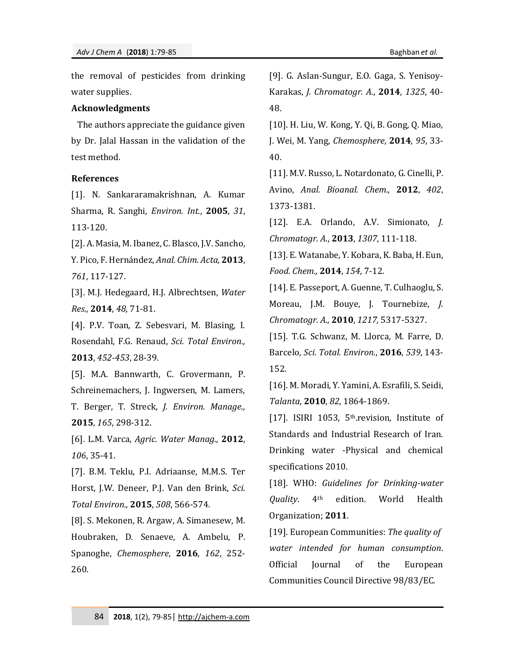the removal of pesticides from drinking water supplies.

#### **Acknowledgments**

The authors appreciate the guidance given by Dr. Jalal Hassan in the validation of the test method.

## **References**

[1]. N. Sankararamakrishnan, A. Kumar Sharma, R. Sanghi, *Environ. Int.*, **2005**, *31*, 113-120.

[2]. A. Masia, M. Ibanez, C. Blasco, J.V. Sancho, Y. Pico, F. Hernández, *Anal. Chim. Acta,* **2013**, *761*, 117-127.

[3]. M.J. Hedegaard, H.J. Albrechtsen, *Water Res.*, **2014**, *48*, 71-81.

[4]. P.V. Toan, Z. Sebesvari, M. Blasing, I. Rosendahl, F.G. Renaud, *Sci. Total Environ.,* **2013**, *452-453*, 28-39.

[5]. M.A. Bannwarth, C. Grovermann, P. Schreinemachers, J. Ingwersen, M. Lamers, T. Berger, T. Streck, *J. Environ. Manage.,*  **2015**, *165*, 298-312.

[6]. L.M. Varca, *Agric. Water Manag.,* **2012**, *106*, 35-41.

[7]. B.M. Teklu, P.I. Adriaanse, M.M.S. Ter Horst, J.W. Deneer, P.J. Van den Brink, *Sci. Total Environ.,* **2015**, *508*, 566-574.

[8]. S. Mekonen, R. Argaw, A. Simanesew, M. Houbraken, D. Senaeve, A. Ambelu, P. Spanoghe, *Chemosphere*, **2016**, *162*, 252- 260.

[9]. G. Aslan-Sungur, E.O. Gaga, S. Yenisoy-Karakas, *J. Chromatogr. A*., **2014**, *1325*, 40- 48.

[10]. H. Liu, W. Kong, Y. Qi, B. Gong, Q. Miao, J. Wei, M. Yang, *Chemosphere*, **2014**, *95*, 33- 40.

[11]. M.V. Russo, L. Notardonato, G. Cinelli, P. Avino, *Anal. Bioanal. Chem.,* **2012**, *402*, 1373-1381.

[12]. E.A. Orlando, A.V. Simionato, *J. Chromatogr. A*., **2013**, *1307*, 111-118.

[13]. E. Watanabe, Y. Kobara, K. Baba, H. Eun, *Food. Chem.,* **2014**, *154*, 7-12.

[14]. E. Passeport, A. Guenne, T. Culhaoglu, S. Moreau, J.M. Bouye, J. Tournebize, *J. Chromatogr. A.,* **2010**, *1217,* 5317-5327.

[15]. T.G. Schwanz, M. Llorca, M. Farre, D. Barcelo, *Sci. Total. Environ.*, **2016**, *539*, 143- 152.

[16]. M. Moradi, Y. Yamini, A. Esrafili, S. Seidi, *Talanta*, **2010**, *82*, 1864-1869.

[17]. ISIRI 1053, 5<sup>th</sup>.revision, Institute of Standards and Industrial Research of Iran. Drinking water -Physical and chemical specifications 2010.

[18]. WHO: *Guidelines for Drinking-water Quality*. 4th edition. World Health Organization; **2011**.

[19]. European Communities: *The quality of water intended for human consumption*. Official Journal of the European Communities Council Directive 98/83/EC.